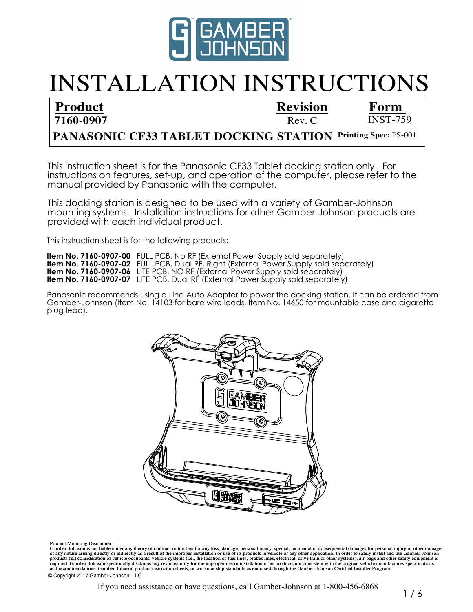

# INSTALLATION INSTRUCTIONS

**Product 7160-0907** **Revision**

 $Rev C$  INST-759 **Form** 

### **PANASONIC CF33 TABLET DOCKING STATION Printing Spec: PS-001**

instructions on features, set-up, and operation of the computer, please refer to the manual provided by Panasonic with the computer. This instruction sheet is for the Panasonic CF33 Tablet docking station only. For

This docking station is designed to be used with a variety of Gamber-Johnson mounting systems. Installation instructions for other Gamber-Johnson products are provided with each individual product.

This instruction sheet is for the following products:

**Item No. 7160-0907-00** FULL PCB, No RF (External Power Supply sold separately) **Item No. 7160-0907-02** FULL PCB, Dual RF, Right (External Power Supply sold separately) **Item No. 7160-0907-06** LITE PCB, NO RF (External Power Supply sold separately) **Item No. 7160-0907-07** LITE PCB, Dual RF (External Power Supply sold separately)

Panasonic recommends using a Lind Auto Adapter to power the docking station. It can be ordered from Gamber-Johnson (Item No. 14103 for bare wire leads, Item No. 14650 for mountable case and cigarette plug lead).



Product Mounting Disclaimer

required. Gamber-Johnson specifically disclaims any responsibility for the improper use or installation of its products not consistent with the original vehicle manufactures specifications Gamber-Johnson is not liable under any theory of contract or tort law for any loss, damage, personal injury, special, incidental or consequential damages for personal injury or other damage<br>of any nature arising directly o and recommendations, Gamber-Johnson product instruction sheets, or workmanship standards as endorsed through the Gamber-Johnson Certified Installer Program. © Copyright 2017 Gamber-Johnson, LLC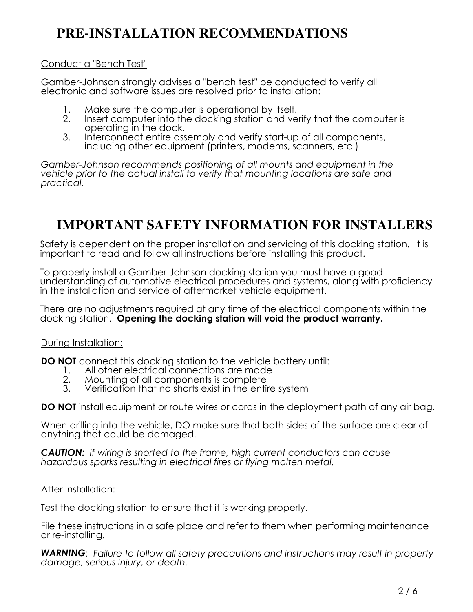# **PRE-INSTALLATION RECOMMENDATIONS**

#### Conduct a "Bench Test"

Gamber-Johnson strongly advises a "bench test" be conducted to verify all electronic and software issues are resolved prior to installation:

- 1. Make sure the computer is operational by itself.<br>2. Insert computer into the docking station and ve
- Insert computer into the docking station and verify that the computer is operating in the dock.
- 3. Interconnect entire assembly and verify start-up of all components, including other equipment (printers, modems, scanners, etc.)

*Gamber-Johnson recommends positioning of all mounts and equipment in the vehicle prior to the actual install to verify that mounting locations are safe and practical.*

# **IMPORTANT SAFETY INFORMATION FOR INSTALLERS**

Safety is dependent on the proper installation and servicing of this docking station. It is important to read and follow all instructions before installing this product.

To properly install a Gamber-Johnson docking station you must have a good understanding of automotive electrical procedures and systems, along with proficiency in the installation and service of aftermarket vehicle equipment.

There are no adjustments required at any time of the electrical components within the docking station. **Opening the docking station will void the product warranty.**

#### During Installation:

**DO NOT** connect this docking station to the vehicle battery until:<br>1. All other electrical connections are made

- 1. All other electrical connections are made<br>2. Mounting of all components is complete
- 2. Mounting of all components is complete
- Verification that no shorts exist in the entire system

**DO NOT** install equipment or route wires or cords in the deployment path of any air bag.

When drilling into the vehicle, DO make sure that both sides of the surface are clear of anything that could be damaged.

*CAUTION: If wiring is shorted to the frame, high current conductors can cause hazardous sparks resulting in electrical fires or flying molten metal.*

#### After installation:

Test the docking station to ensure that it is working properly.

File these instructions in a safe place and refer to them when performing maintenance or re-installing.

*WARNING: Failure to follow all safety precautions and instructions may result in property damage, serious injury, or death.*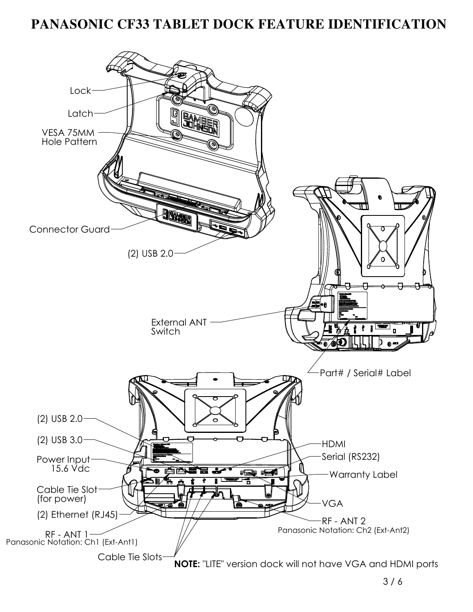### **PANASONIC CF33 TABLET DOCK FEATURE IDENTIFICATION**

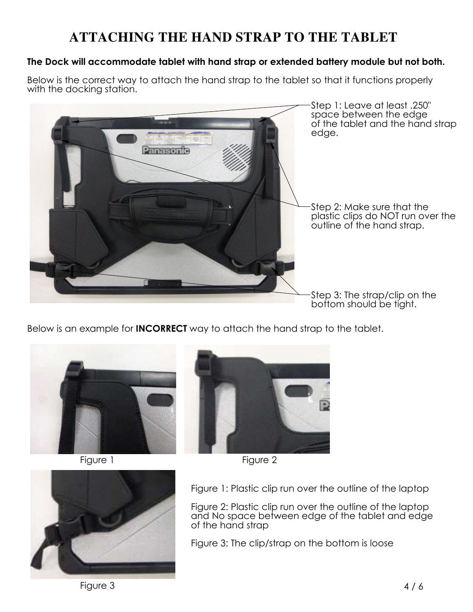# **ATTACHING THE HAND STRAP TO THE TABLET**

#### **The Dock will accommodate tablet with hand strap or extended battery module but not both.**

Below is the correct way to attach the hand strap to the tablet so that it functions properly with the docking station.



Below is an example for **INCORRECT** way to attach the hand strap to the tablet.







Figure 1 Figure 2



Figure 2: Plastic clip run over the outline of the laptop and No space between edge of the tablet and edge of the hand strap

Figure 3: The clip/strap on the bottom is loose



Figure 3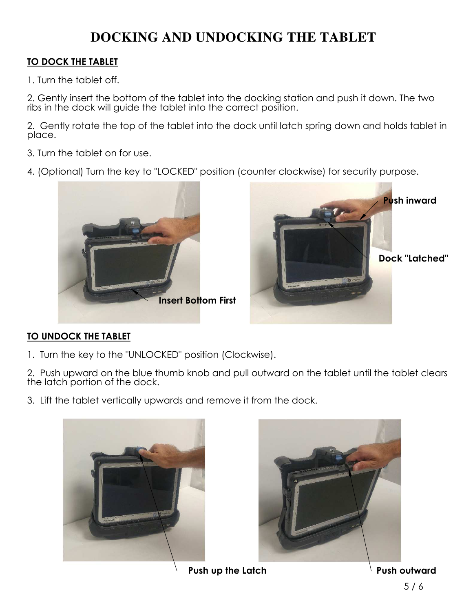# **DOCKING AND UNDOCKING THE TABLET**

#### **TO DOCK THE TABLET**

1. Turn the tablet off.

2. Gently insert the bottom of the tablet into the docking station and push it down. The two ribs in the dock will guide the tablet into the correct position.

2. Gently rotate the top of the tablet into the dock until latch spring down and holds tablet in place.

- 3. Turn the tablet on for use.
- 4. (Optional) Turn the key to "LOCKED" position (counter clockwise) for security purpose.



#### **TO UNDOCK THE TABLET**

1. Turn the key to the "UNLOCKED" position (Clockwise).

2. Push upward on the blue thumb knob and pull outward on the tablet until the tablet clears the latch portion of the dock.

3. Lift the tablet vertically upwards and remove it from the dock.





Push up the Latch **Push outward**